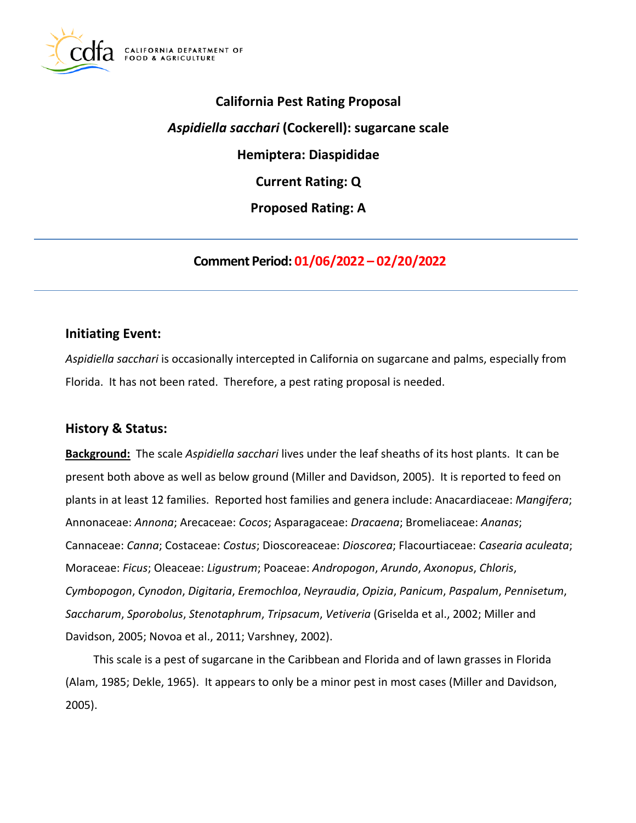

**California Pest Rating Proposal**  *Aspidiella sacchari* **(Cockerell): sugarcane scale Hemiptera: Diaspididae Current Rating: Q Proposed Rating: A** 

**Comment Period: 01/06/2022 – 02/20/2022** 

# **Initiating Event:**

*Aspidiella sacchari* is occasionally intercepted in California on sugarcane and palms, especially from Florida. It has not been rated. Therefore, a pest rating proposal is needed.

# **History & Status:**

**Background:** The scale *Aspidiella sacchari* lives under the leaf sheaths of its host plants. It can be present both above as well as below ground (Miller and Davidson, 2005). It is reported to feed on plants in at least 12 families. Reported host families and genera include: Anacardiaceae: *Mangifera*; Annonaceae: *Annona*; Arecaceae: *Cocos*; Asparagaceae: *Dracaena*; Bromeliaceae: *Ananas*; Cannaceae: *Canna*; Costaceae: *Costus*; Dioscoreaceae: *Dioscorea*; Flacourtiaceae: *Casearia aculeata*; Moraceae: *Ficus*; Oleaceae: *Ligustrum*; Poaceae: *Andropogon*, *Arundo*, *Axonopus*, *Chloris*, *Cymbopogon*, *Cynodon*, *Digitaria*, *Eremochloa*, *Neyraudia*, *Opizia*, *Panicum*, *Paspalum*, *Pennisetum*, *Saccharum*, *Sporobolus*, *Stenotaphrum*, *Tripsacum*, *Vetiveria* (Griselda et al., 2002; Miller and Davidson, 2005; Novoa et al., 2011; Varshney, 2002).

This scale is a pest of sugarcane in the Caribbean and Florida and of lawn grasses in Florida (Alam, 1985; Dekle, 1965). It appears to only be a minor pest in most cases (Miller and Davidson, 2005).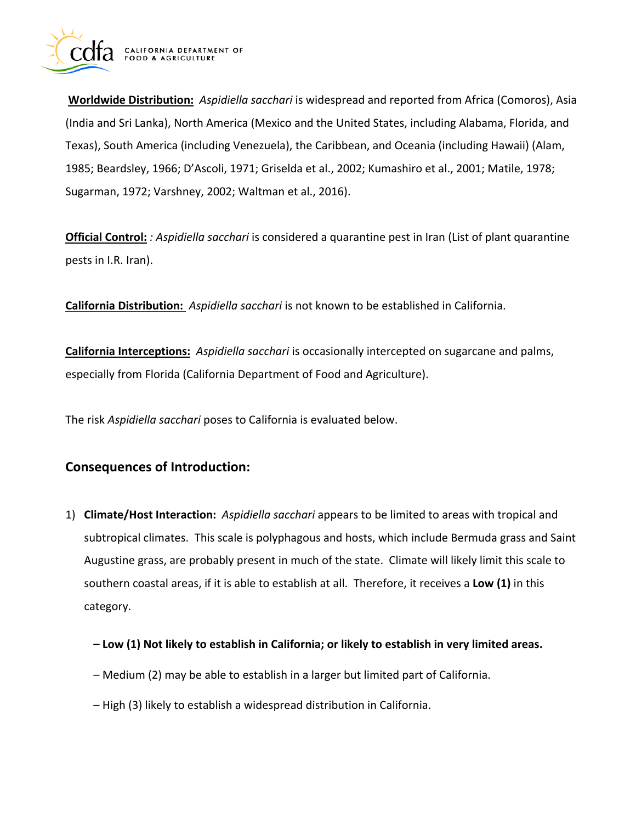

**Worldwide Distribution:** *Aspidiella sacchari* is widespread and reported from Africa (Comoros), Asia (India and Sri Lanka), North America (Mexico and the United States, including Alabama, Florida, and Texas), South America (including Venezuela), the Caribbean, and Oceania (including Hawaii) (Alam, 1985; Beardsley, 1966; D'Ascoli, 1971; Griselda et al., 2002; Kumashiro et al., 2001; Matile, 1978; Sugarman, 1972; Varshney, 2002; Waltman et al., 2016).

**Official Control:** *: Aspidiella sacchari* is considered a quarantine pest in Iran (List of plant quarantine pests in I.R. Iran).

**California Distribution:** *Aspidiella sacchari* is not known to be established in California.

**California Interceptions:** *Aspidiella sacchari* is occasionally intercepted on sugarcane and palms, especially from Florida (California Department of Food and Agriculture).

The risk *Aspidiella sacchari* poses to California is evaluated below.

# **Consequences of Introduction:**

- 1) **Climate/Host Interaction:** *Aspidiella sacchari* appears to be limited to areas with tropical and subtropical climates. This scale is polyphagous and hosts, which include Bermuda grass and Saint Augustine grass, are probably present in much of the state. Climate will likely limit this scale to southern coastal areas, if it is able to establish at all. Therefore, it receives a **Low (1)** in this category.
	- **Low (1) Not likely to establish in California; or likely to establish in very limited areas.**
	- Medium (2) may be able to establish in a larger but limited part of California.
	- High (3) likely to establish a widespread distribution in California.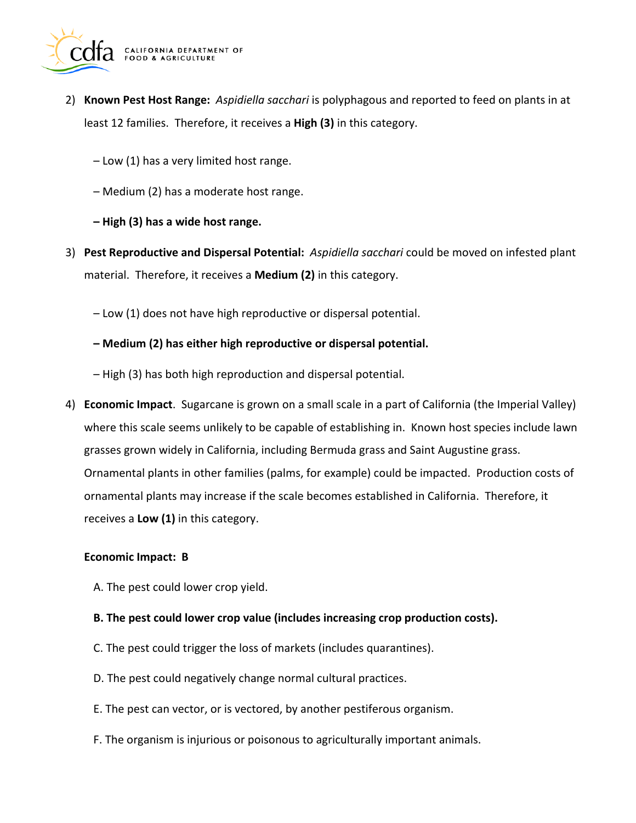

- 2) **Known Pest Host Range:** *Aspidiella sacchari* is polyphagous and reported to feed on plants in at least 12 families. Therefore, it receives a **High (3)** in this category.
	- Low (1) has a very limited host range.
	- Medium (2) has a moderate host range.
	- **High (3) has a wide host range.**
- 3) **Pest Reproductive and Dispersal Potential:** *Aspidiella sacchari* could be moved on infested plant material. Therefore, it receives a **Medium (2)** in this category.
	- Low (1) does not have high reproductive or dispersal potential.
	- **Medium (2) has either high reproductive or dispersal potential.**
	- High (3) has both high reproduction and dispersal potential.
- 4) **Economic Impact**. Sugarcane is grown on a small scale in a part of California (the Imperial Valley) where this scale seems unlikely to be capable of establishing in. Known host species include lawn grasses grown widely in California, including Bermuda grass and Saint Augustine grass. Ornamental plants in other families (palms, for example) could be impacted. Production costs of ornamental plants may increase if the scale becomes established in California. Therefore, it receives a **Low (1)** in this category.

#### **Economic Impact: B**

- A. The pest could lower crop yield.
- **B. The pest could lower crop value (includes increasing crop production costs).**
- C. The pest could trigger the loss of markets (includes quarantines).
- D. The pest could negatively change normal cultural practices.
- E. The pest can vector, or is vectored, by another pestiferous organism.
- F. The organism is injurious or poisonous to agriculturally important animals.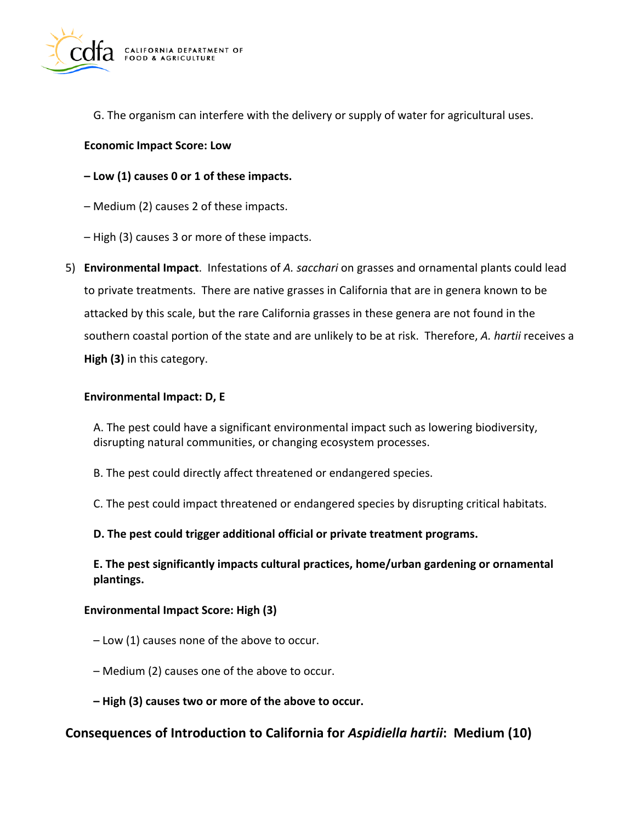

G. The organism can interfere with the delivery or supply of water for agricultural uses.

### **Economic Impact Score: Low**

## **– Low (1) causes 0 or 1 of these impacts.**

- Medium (2) causes 2 of these impacts.
- High (3) causes 3 or more of these impacts.
- 5) **Environmental Impact**. Infestations of *A. sacchari* on grasses and ornamental plants could lead to private treatments. There are native grasses in California that are in genera known to be attacked by this scale, but the rare California grasses in these genera are not found in the southern coastal portion of the state and are unlikely to be at risk. Therefore, *A. hartii* receives a **High (3)** in this category.

### **Environmental Impact: D, E**

A. The pest could have a significant environmental impact such as lowering biodiversity, disrupting natural communities, or changing ecosystem processes.

- B. The pest could directly affect threatened or endangered species.
- C. The pest could impact threatened or endangered species by disrupting critical habitats.

### **D. The pest could trigger additional official or private treatment programs.**

**E. The pest significantly impacts cultural practices, home/urban gardening or ornamental plantings.** 

### **Environmental Impact Score: High (3)**

- Low (1) causes none of the above to occur.
- Medium (2) causes one of the above to occur.
- **High (3) causes two or more of the above to occur.**

# **Consequences of Introduction to California for** *Aspidiella hartii***: Medium (10)**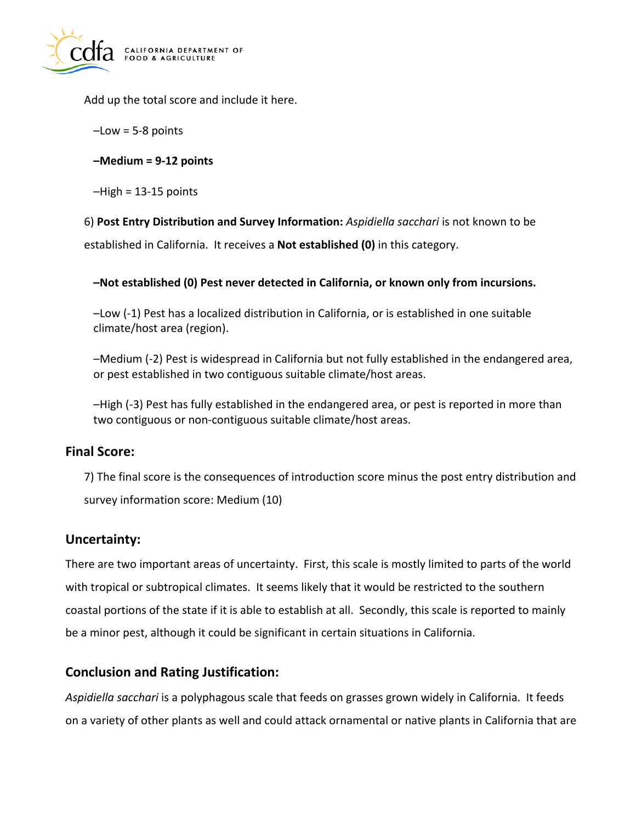

Add up the total score and include it here.

- –Low = 5-8 points
- **–Medium = 9-12 points**
- $-High = 13-15$  points

6) **Post Entry Distribution and Survey Information:** *Aspidiella sacchari* is not known to be

established in California. It receives a **Not established (0)** in this category.

## **–Not established (0) Pest never detected in California, or known only from incursions.**

–Low (-1) Pest has a localized distribution in California, or is established in one suitable climate/host area (region).

–Medium (-2) Pest is widespread in California but not fully established in the endangered area, or pest established in two contiguous suitable climate/host areas.

–High (-3) Pest has fully established in the endangered area, or pest is reported in more than two contiguous or non-contiguous suitable climate/host areas.

# **Final Score:**

7) The final score is the consequences of introduction score minus the post entry distribution and survey information score: Medium (10)

# **Uncertainty:**

There are two important areas of uncertainty. First, this scale is mostly limited to parts of the world with tropical or subtropical climates. It seems likely that it would be restricted to the southern coastal portions of the state if it is able to establish at all. Secondly, this scale is reported to mainly be a minor pest, although it could be significant in certain situations in California.

# **Conclusion and Rating Justification:**

*Aspidiella sacchari* is a polyphagous scale that feeds on grasses grown widely in California. It feeds on a variety of other plants as well and could attack ornamental or native plants in California that are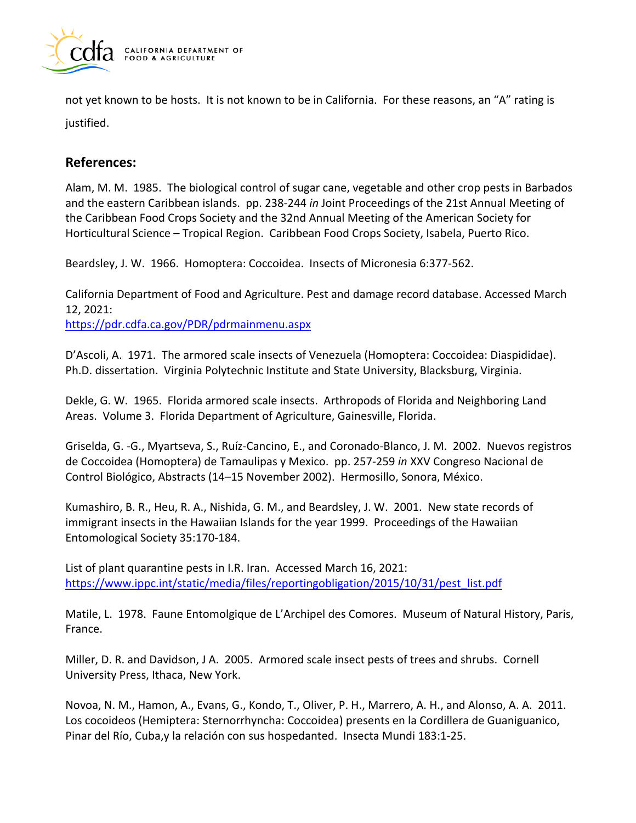

not yet known to be hosts. It is not known to be in California. For these reasons, an "A" rating is justified.

# **References:**

Alam, M. M. 1985. The biological control of sugar cane, vegetable and other crop pests in Barbados and the eastern Caribbean islands. pp. 238-244 *in* Joint Proceedings of the 21st Annual Meeting of the Caribbean Food Crops Society and the 32nd Annual Meeting of the American Society for Horticultural Science – Tropical Region. Caribbean Food Crops Society, Isabela, Puerto Rico.

Beardsley, J. W. 1966. Homoptera: Coccoidea. Insects of Micronesia 6:377-562.

California Department of Food and Agriculture. Pest and damage record database. Accessed March 12, 2021: <https://pdr.cdfa.ca.gov/PDR/pdrmainmenu.aspx>

D'Ascoli, A. 1971. The armored scale insects of Venezuela (Homoptera: Coccoidea: Diaspididae). Ph.D. dissertation. Virginia Polytechnic Institute and State University, Blacksburg, Virginia.

Dekle, G. W. 1965. Florida armored scale insects. Arthropods of Florida and Neighboring Land Areas. Volume 3. Florida Department of Agriculture, Gainesville, Florida.

Griselda, G. -G., Myartseva, S., Ruíz-Cancino, E., and Coronado-Blanco, J. M. 2002. Nuevos registros de Coccoidea (Homoptera) de Tamaulipas y Mexico. pp. 257-259 *in* XXV Congreso Nacional de Control Biológico, Abstracts (14–15 November 2002). Hermosillo, Sonora, México.

Kumashiro, B. R., Heu, R. A., Nishida, G. M., and Beardsley, J. W. 2001. New state records of immigrant insects in the Hawaiian Islands for the year 1999. Proceedings of the Hawaiian Entomological Society 35:170-184.

List of plant quarantine pests in I.R. Iran. Accessed March 16, 2021: [https://www.ippc.int/static/media/files/reportingobligation/2015/10/31/pest\\_list.pdf](https://www.ippc.int/static/media/files/reportingobligation/2015/10/31/pest_list.pdf) 

Matile, L. 1978. Faune Entomolgique de L'Archipel des Comores. Museum of Natural History, Paris, France.

Miller, D. R. and Davidson, J A. 2005. Armored scale insect pests of trees and shrubs. Cornell University Press, Ithaca, New York.

Novoa, N. M., Hamon, A., Evans, G., Kondo, T., Oliver, P. H., Marrero, A. H., and Alonso, A. A. 2011. Los cocoideos (Hemiptera: Sternorrhyncha: Coccoidea) presents en la Cordillera de Guaniguanico, Pinar del Río, Cuba,y la relación con sus hospedanted. Insecta Mundi 183:1-25.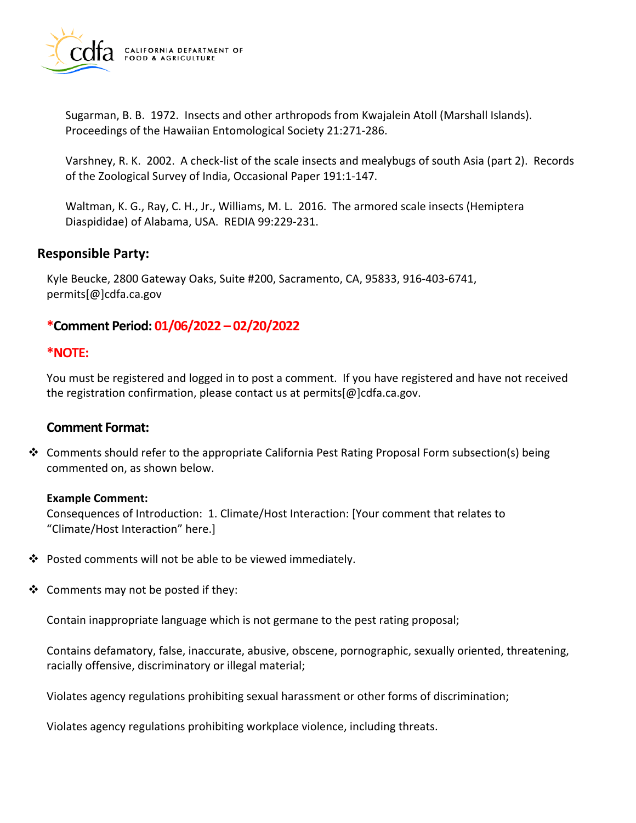

Sugarman, B. B. 1972. Insects and other arthropods from Kwajalein Atoll (Marshall Islands). Proceedings of the Hawaiian Entomological Society 21:271-286.

Varshney, R. K. 2002. A check-list of the scale insects and mealybugs of south Asia (part 2). Records of the Zoological Survey of India, Occasional Paper 191:1-147.

Waltman, K. G., Ray, C. H., Jr., Williams, M. L. 2016. The armored scale insects (Hemiptera Diaspididae) of Alabama, USA. REDIA 99:229-231.

# **Responsible Party:**

Kyle Beucke, 2800 Gateway Oaks, Suite #200, Sacramento, CA, 95833, 916-403-6741, [permits\[@\]cdfa.ca.gov](https://permits[@]cdfa.ca.gov) 

# **\*Comment Period: 01/06/2022 – 02/20/2022**

# **\*NOTE:**

You must be registered and logged in to post a comment. If you have registered and have not received the registration confirmation, please contact us at [permits\[@\]cdfa.ca.gov](https://permits[@]cdfa.ca.gov).

# **Comment Format:**

 $\clubsuit$  Comments should refer to the appropriate California Pest Rating Proposal Form subsection(s) being commented on, as shown below.

### **Example Comment:**

Consequences of Introduction: 1. Climate/Host Interaction: [Your comment that relates to "Climate/Host Interaction" here.]

- Posted comments will not be able to be viewed immediately.
- $\triangleleft$  Comments may not be posted if they:

Contain inappropriate language which is not germane to the pest rating proposal;

Contains defamatory, false, inaccurate, abusive, obscene, pornographic, sexually oriented, threatening, racially offensive, discriminatory or illegal material;

Violates agency regulations prohibiting sexual harassment or other forms of discrimination;

Violates agency regulations prohibiting workplace violence, including threats.